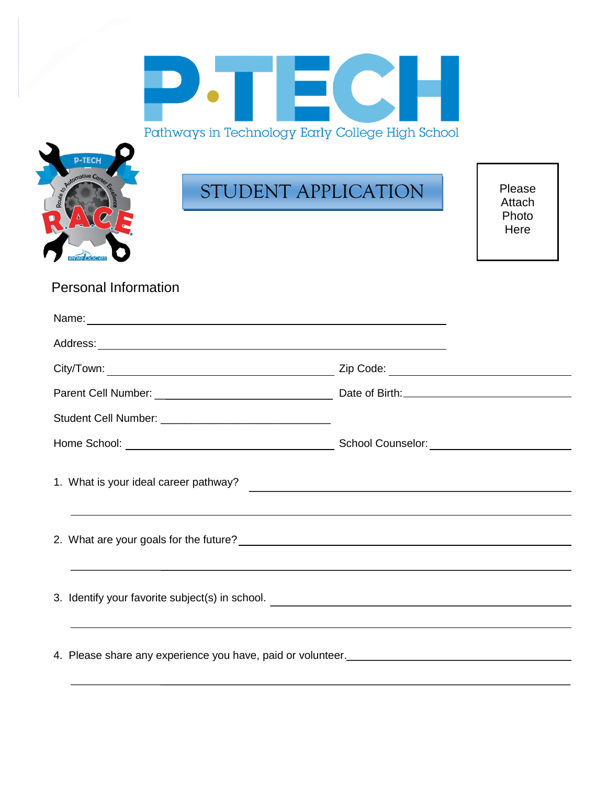| Pathways in Technology Farly College High School |  |  |  |
|--------------------------------------------------|--|--|--|



# STUDENT APPLICATION

Please Attach Photo Here

# Personal Information

| Name: <u>Name:</u> Name: Name: Name: Name: Name: Name: Name: Name: Name: Name: Name: Name: Name: Name: Name: Name: Name: Name: Name: Name: Name: Name: Name: Name: Name: Name: Name: Name: Name: Name: Name: Name: Name: Name: Name    |  |
|----------------------------------------------------------------------------------------------------------------------------------------------------------------------------------------------------------------------------------------|--|
|                                                                                                                                                                                                                                        |  |
|                                                                                                                                                                                                                                        |  |
|                                                                                                                                                                                                                                        |  |
|                                                                                                                                                                                                                                        |  |
|                                                                                                                                                                                                                                        |  |
| 1. What is your ideal career pathway?<br><u> and the contract of the contract of the contract of the contract of the contract of the contract of the contract of the contract of the contract of the contract of the contract of t</u> |  |
|                                                                                                                                                                                                                                        |  |
|                                                                                                                                                                                                                                        |  |
|                                                                                                                                                                                                                                        |  |